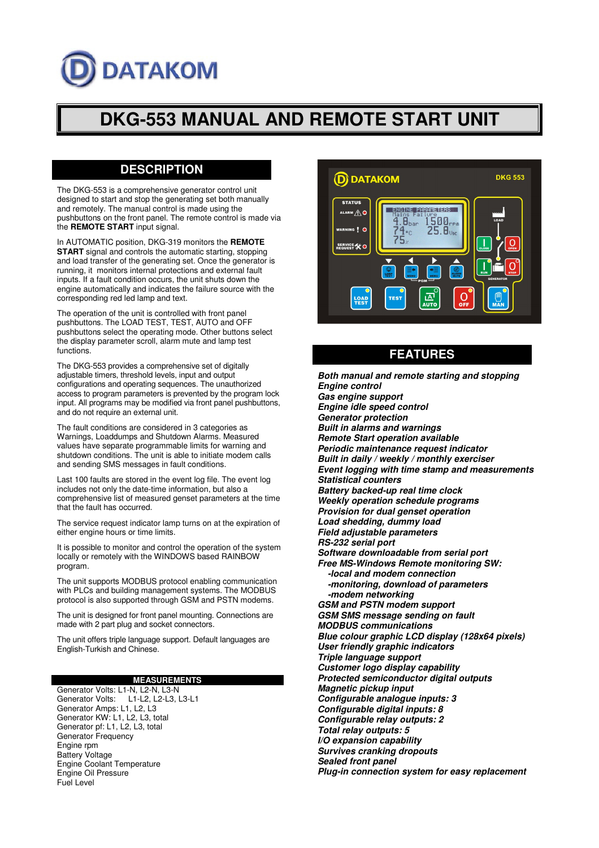# **DATAKOM**

# **DKG-553 MANUAL AND REMOTE START UNIT**

# **DESCRIPTION**

The DKG-553 is a comprehensive generator control unit designed to start and stop the generating set both manually and remotely. The manual control is made using the pushbuttons on the front panel. The remote control is made via the **REMOTE START** input signal.

In AUTOMATIC position, DKG-319 monitors the **REMOTE START** signal and controls the automatic starting, stopping and load transfer of the generating set. Once the generator is running, it monitors internal protections and external fault inputs. If a fault condition occurs, the unit shuts down the engine automatically and indicates the failure source with the corresponding red led lamp and text.

The operation of the unit is controlled with front panel pushbuttons. The LOAD TEST, TEST, AUTO and OFF pushbuttons select the operating mode. Other buttons select the display parameter scroll, alarm mute and lamp test functions.

The DKG-553 provides a comprehensive set of digitally adjustable timers, threshold levels, input and output configurations and operating sequences. The unauthorized access to program parameters is prevented by the program lock input. All programs may be modified via front panel pushbuttons, and do not require an external unit.

The fault conditions are considered in 3 categories as Warnings, Loaddumps and Shutdown Alarms. Measured values have separate programmable limits for warning and shutdown conditions. The unit is able to initiate modem calls and sending SMS messages in fault conditions.

Last 100 faults are stored in the event log file. The event log includes not only the date-time information, but also a comprehensive list of measured genset parameters at the time that the fault has occurred.

The service request indicator lamp turns on at the expiration of either engine hours or time limits.

It is possible to monitor and control the operation of the system locally or remotely with the WINDOWS based RAINBOW program.

The unit supports MODBUS protocol enabling communication with PLCs and building management systems. The MODBUS protocol is also supported through GSM and PSTN modems.

The unit is designed for front panel mounting. Connections are made with 2 part plug and socket connectors.

The unit offers triple language support. Default languages are English-Turkish and Chinese.

# **MEASUREMENTS**

Generator Volts: L1-N, L2-N, L3-N Generator Volts: L1-L2, L2-L3, L3-L1 Generator Amps: L1, L2, L3 Generator KW: L1, L2, L3, total Generator pf: L1, L2, L3, total Generator Frequency Engine rpm Battery Voltage Engine Coolant Temperature Engine Oil Pressure Fuel Level



# **FEATURES**

**Both manual and remote starting and stopping Engine control Gas engine support Engine idle speed control Generator protection Built in alarms and warnings Remote Start operation available Periodic maintenance request indicator Built in daily / weekly / monthly exerciser Event logging with time stamp and measurements Statistical counters Battery backed-up real time clock Weekly operation schedule programs Provision for dual genset operation Load shedding, dummy load Field adjustable parameters RS-232 serial port Software downloadable from serial port Free MS-Windows Remote monitoring SW: -local and modem connection -monitoring, download of parameters -modem networking GSM and PSTN modem support GSM SMS message sending on fault MODBUS communications Blue colour graphic LCD display (128x64 pixels) User friendly graphic indicators Triple language support Customer logo display capability Protected semiconductor digital outputs Magnetic pickup input Configurable analogue inputs: 3 Configurable digital inputs: 8 Configurable relay outputs: 2 Total relay outputs: 5 I/O expansion capability Survives cranking dropouts Sealed front panel** 

**Plug-in connection system for easy replacement**